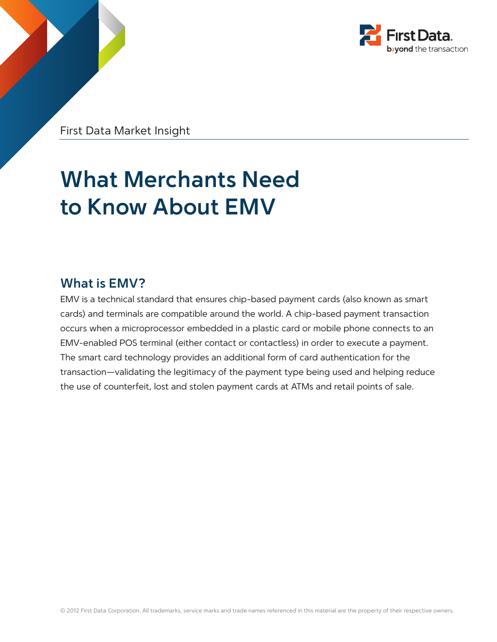

First Data Market Insight

# **What Merchants Need to Know About EMV**

### **What is EMV?**

EMV is a technical standard that ensures chip-based payment cards (also known as smart cards) and terminals are compatible around the world. A chip-based payment transaction occurs when a microprocessor embedded in a plastic card or mobile phone connects to an EMV-enabled POS terminal (either contact or contactless) in order to execute a payment. The smart card technology provides an additional form of card authentication for the transaction—validating the legitimacy of the payment type being used and helping reduce the use of counterfeit, lost and stolen payment cards at ATMs and retail points of sale.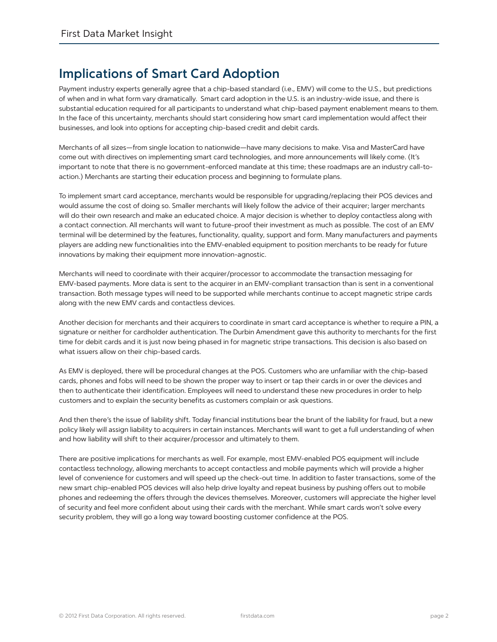## **Implications of Smart Card Adoption**

Payment industry experts generally agree that a chip-based standard (i.e., EMV) will come to the U.S., but predictions of when and in what form vary dramatically. Smart card adoption in the U.S. is an industry-wide issue, and there is substantial education required for all participants to understand what chip-based payment enablement means to them. In the face of this uncertainty, merchants should start considering how smart card implementation would affect their businesses, and look into options for accepting chip-based credit and debit cards.

Merchants of all sizes—from single location to nationwide—have many decisions to make. Visa and MasterCard have come out with directives on implementing smart card technologies, and more announcements will likely come. (It's important to note that there is no government-enforced mandate at this time; these roadmaps are an industry call-toaction.) Merchants are starting their education process and beginning to formulate plans.

To implement smart card acceptance, merchants would be responsible for upgrading/replacing their POS devices and would assume the cost of doing so. Smaller merchants will likely follow the advice of their acquirer; larger merchants will do their own research and make an educated choice. A major decision is whether to deploy contactless along with a contact connection. All merchants will want to future-proof their investment as much as possible. The cost of an EMV terminal will be determined by the features, functionality, quality, support and form. Many manufacturers and payments players are adding new functionalities into the EMV-enabled equipment to position merchants to be ready for future innovations by making their equipment more innovation-agnostic.

Merchants will need to coordinate with their acquirer/processor to accommodate the transaction messaging for EMV-based payments. More data is sent to the acquirer in an EMV-compliant transaction than is sent in a conventional transaction. Both message types will need to be supported while merchants continue to accept magnetic stripe cards along with the new EMV cards and contactless devices.

Another decision for merchants and their acquirers to coordinate in smart card acceptance is whether to require a PIN, a signature or neither for cardholder authentication. The Durbin Amendment gave this authority to merchants for the first time for debit cards and it is just now being phased in for magnetic stripe transactions. This decision is also based on what issuers allow on their chip-based cards.

As EMV is deployed, there will be procedural changes at the POS. Customers who are unfamiliar with the chip-based cards, phones and fobs will need to be shown the proper way to insert or tap their cards in or over the devices and then to authenticate their identification. Employees will need to understand these new procedures in order to help customers and to explain the security benefits as customers complain or ask questions.

And then there's the issue of liability shift. Today financial institutions bear the brunt of the liability for fraud, but a new policy likely will assign liability to acquirers in certain instances. Merchants will want to get a full understanding of when and how liability will shift to their acquirer/processor and ultimately to them.

There are positive implications for merchants as well. For example, most EMV-enabled POS equipment will include contactless technology, allowing merchants to accept contactless and mobile payments which will provide a higher level of convenience for customers and will speed up the check-out time. In addition to faster transactions, some of the new smart chip-enabled POS devices will also help drive loyalty and repeat business by pushing offers out to mobile phones and redeeming the offers through the devices themselves. Moreover, customers will appreciate the higher level of security and feel more confident about using their cards with the merchant. While smart cards won't solve every security problem, they will go a long way toward boosting customer confidence at the POS.